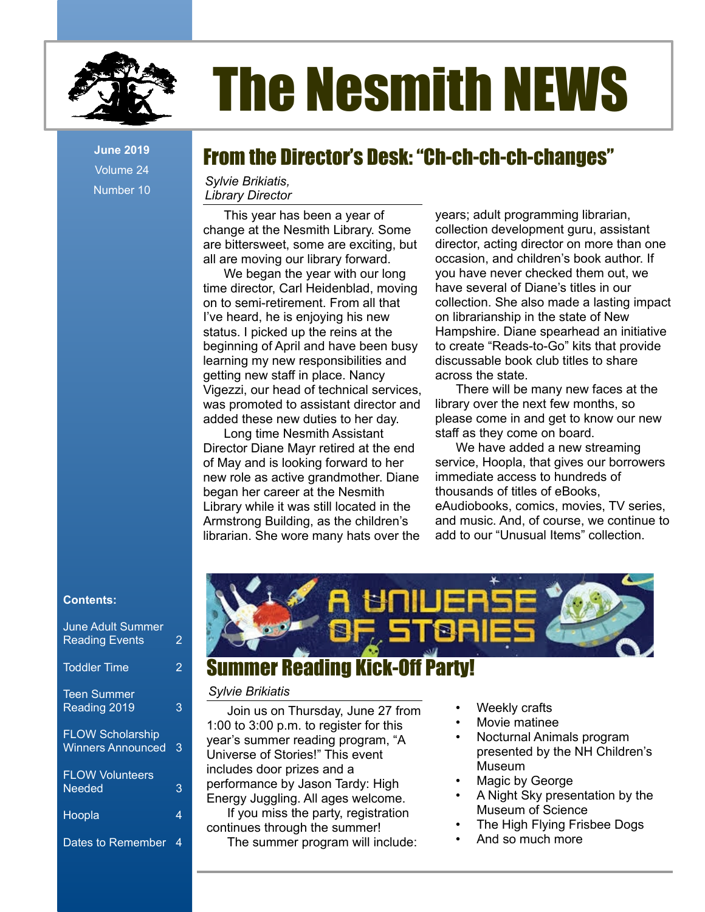

# The Nesmith NEWS

Volume 24 Number 10

# From the Director's Desk: "Ch-ch-ch-ch-changes" **June 2019**

### *Sylvie Brikiatis, Library Director*

This year has been a year of change at the Nesmith Library. Some are bittersweet, some are exciting, but all are moving our library forward.

We began the year with our long time director, Carl Heidenblad, moving on to semi-retirement. From all that I've heard, he is enjoying his new status. I picked up the reins at the beginning of April and have been busy learning my new responsibilities and getting new staff in place. Nancy Vigezzi, our head of technical services, was promoted to assistant director and added these new duties to her day.

Long time Nesmith Assistant Director Diane Mayr retired at the end of May and is looking forward to her new role as active grandmother. Diane began her career at the Nesmith Library while it was still located in the Armstrong Building, as the children's librarian. She wore many hats over the years; adult programming librarian, collection development guru, assistant director, acting director on more than one occasion, and children's book author. If you have never checked them out, we have several of Diane's titles in our collection. She also made a lasting impact on librarianship in the state of New Hampshire. Diane spearhead an initiative to create "Reads-to-Go" kits that provide discussable book club titles to share across the state.

There will be many new faces at the library over the next few months, so please come in and get to know our new staff as they come on board.

We have added a new streaming service, Hoopla, that gives our borrowers immediate access to hundreds of thousands of titles of eBooks, eAudiobooks, comics, movies, TV series, and music. And, of course, we continue to add to our "Unusual Items" collection.

#### **Contents:**

| <b>June Adult Summer</b><br><b>Reading Events</b>   | 2 |
|-----------------------------------------------------|---|
| <b>Toddler Time</b>                                 | 2 |
| <b>Teen Summer</b><br>Reading 2019                  | 3 |
| <b>FLOW Scholarship</b><br><b>Winners Announced</b> | 3 |
| <b>FLOW Volunteers</b><br><b>Needed</b>             | 3 |
| Hoopla                                              | 4 |
| Dates to Remember                                   | 4 |



## *Sylvie Brikiatis*

Join us on Thursday, June 27 from 1:00 to 3:00 p.m. to register for this year's summer reading program, "A Universe of Stories!" This event includes door prizes and a performance by Jason Tardy: High Energy Juggling. All ages welcome. If you miss the party, registration continues through the summer! The summer program will include:

- Weekly crafts
- Movie matinee
- Nocturnal Animals program presented by the NH Children's Museum
- Magic by George
- A Night Sky presentation by the Museum of Science
- The High Flying Frisbee Dogs
- And so much more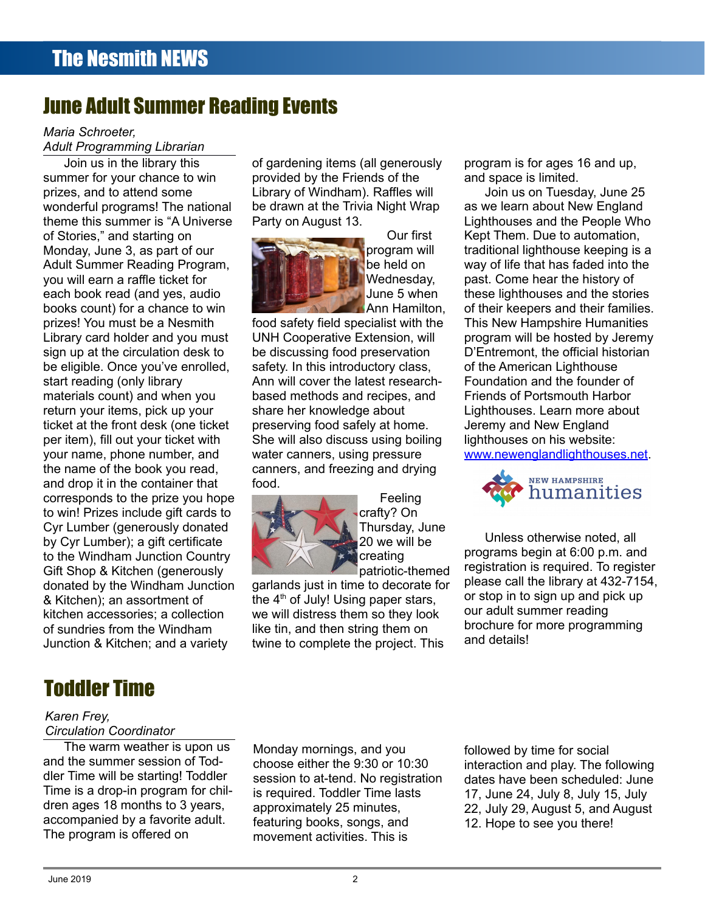# June Adult Summer Reading Events

## *Maria Schroeter,*

*Adult Programming Librarian*

Join us in the library this summer for your chance to win prizes, and to attend some wonderful programs! The national theme this summer is "A Universe of Stories," and starting on Monday, June 3, as part of our Adult Summer Reading Program, you will earn a raffle ticket for each book read (and yes, audio books count) for a chance to win prizes! You must be a Nesmith Library card holder and you must sign up at the circulation desk to be eligible. Once you've enrolled, start reading (only library materials count) and when you return your items, pick up your ticket at the front desk (one ticket per item), fill out your ticket with your name, phone number, and the name of the book you read, and drop it in the container that corresponds to the prize you hope to win! Prizes include gift cards to Cyr Lumber (generously donated by Cyr Lumber); a gift certificate to the Windham Junction Country Gift Shop & Kitchen (generously donated by the Windham Junction & Kitchen); an assortment of kitchen accessories; a collection of sundries from the Windham Junction & Kitchen; and a variety

of gardening items (all generously provided by the Friends of the Library of Windham). Raffles will be drawn at the Trivia Night Wrap Party on August 13.



Our first program will be held on Wednesday, June 5 when Ann Hamilton,

food safety field specialist with the UNH Cooperative Extension, will be discussing food preservation safety. In this introductory class, Ann will cover the latest researchbased methods and recipes, and share her knowledge about preserving food safely at home. She will also discuss using boiling water canners, using pressure canners, and freezing and drying food.



Feeling crafty? On Thursday, June 20 we will be creating patriotic-themed

garlands just in time to decorate for the  $4<sup>th</sup>$  of July! Using paper stars, we will distress them so they look like tin, and then string them on twine to complete the project. This

program is for ages 16 and up, and space is limited.

Join us on Tuesday, June 25 as we learn about New England Lighthouses and the People Who Kept Them. Due to automation, traditional lighthouse keeping is a way of life that has faded into the past. Come hear the history of these lighthouses and the stories of their keepers and their families. This New Hampshire Humanities program will be hosted by Jeremy D'Entremont, the official historian of the American Lighthouse Foundation and the founder of Friends of Portsmouth Harbor Lighthouses. Learn more about Jeremy and New England lighthouses on his website: [www.newenglandlighthouses.net.](http://www.newenglandlighthouses.net/)



Unless otherwise noted, all programs begin at 6:00 p.m. and registration is required. To register please call the library at 432-7154, or stop in to sign up and pick up our adult summer reading brochure for more programming and details!

# Toddler Time

## *Karen Frey, Circulation Coordinator*

The warm weather is upon us and the summer session of Toddler Time will be starting! Toddler Time is a drop-in program for children ages 18 months to 3 years, accompanied by a favorite adult. The program is offered on

Monday mornings, and you choose either the 9:30 or 10:30 session to at-tend. No registration is required. Toddler Time lasts approximately 25 minutes, featuring books, songs, and movement activities. This is

followed by time for social interaction and play. The following dates have been scheduled: June 17, June 24, July 8, July 15, July 22, July 29, August 5, and August 12. Hope to see you there!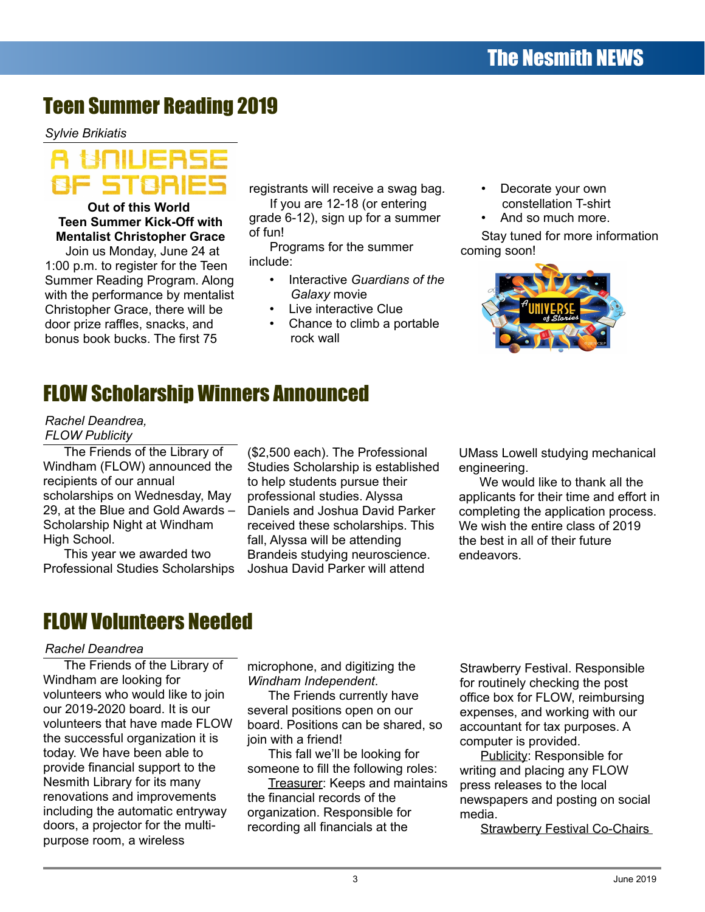# Teen Summer Reading 2019

*Sylvie Brikiatis*



**Out of this World Teen Summer Kick-Off with Mentalist Christopher Grace**

Join us Monday, June 24 at 1:00 p.m. to register for the Teen Summer Reading Program. Along with the performance by mentalist Christopher Grace, there will be door prize raffles, snacks, and bonus book bucks. The first 75

registrants will receive a swag bag. If you are 12-18 (or entering grade 6-12), sign up for a summer of fun!

Programs for the summer include:

- Interactive *Guardians of the Galaxy* movie
- Live interactive Clue
- Chance to climb a portable rock wall
- Decorate your own constellation T-shirt
- And so much more.

Stay tuned for more information coming soon!



# FLOW Scholarship Winners Announced

*Rachel Deandrea, FLOW Publicity*

The Friends of the Library of Windham (FLOW) announced the recipients of our annual scholarships on Wednesday, May 29, at the Blue and Gold Awards – Scholarship Night at Windham High School.

This year we awarded two Professional Studies Scholarships

(\$2,500 each). The Professional Studies Scholarship is established to help students pursue their professional studies. Alyssa Daniels and Joshua David Parker received these scholarships. This fall, Alyssa will be attending Brandeis studying neuroscience. Joshua David Parker will attend

UMass Lowell studying mechanical engineering.

We would like to thank all the applicants for their time and effort in completing the application process. We wish the entire class of 2019 the best in all of their future endeavors.

# FLOW Volunteers Needed

## *Rachel Deandrea*

The Friends of the Library of Windham are looking for volunteers who would like to join our 2019-2020 board. It is our volunteers that have made FLOW the successful organization it is today. We have been able to provide financial support to the Nesmith Library for its many renovations and improvements including the automatic entryway doors, a projector for the multipurpose room, a wireless

microphone, and digitizing the *Windham Independent*.

The Friends currently have several positions open on our board. Positions can be shared, so join with a friend!

This fall we'll be looking for someone to fill the following roles:

Treasurer: Keeps and maintains the financial records of the organization. Responsible for recording all financials at the

Strawberry Festival. Responsible for routinely checking the post office box for FLOW, reimbursing expenses, and working with our accountant for tax purposes. A computer is provided.

Publicity: Responsible for writing and placing any FLOW press releases to the local newspapers and posting on social media.

**Strawberry Festival Co-Chairs**